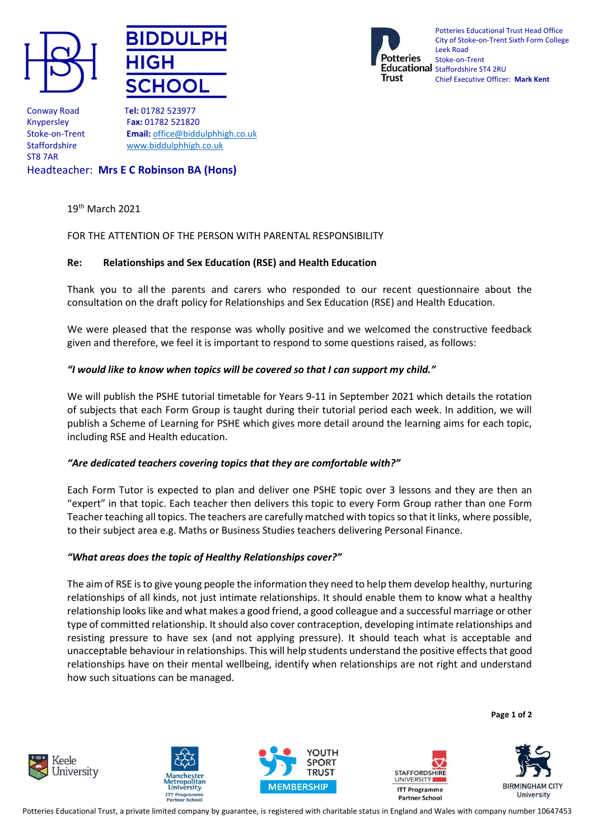





Potteries Educational Trust Head Office City of Stoke-on-Trent Sixth Form College Leek Road Stoke-on-Trent Educational Staffordshire ST4 2RU Chief Executive Officer: **Mark Kent**

Conway Road T**el:** 01782 523977 ST8 7AR

Knypersley F**ax:** 01782 521820 Stoke-on-Trent **Email:** [office@biddulphhigh.co.uk](mailto:office@biddulphhigh.co.uk) Staffordshire [www.biddulphhigh.co.uk](http://www.biddulphhigh.co.uk/) 

Headteacher: **Mrs E C Robinson BA (Hons)** 

19th March 2021

# FOR THE ATTENTION OF THE PERSON WITH PARENTAL RESPONSIBILITY

# **Re: Relationships and Sex Education (RSE) and Health Education**

Thank you to all the parents and carers who responded to our recent questionnaire about the consultation on the draft policy for Relationships and Sex Education (RSE) and Health Education.

We were pleased that the response was wholly positive and we welcomed the constructive feedback given and therefore, we feel it is important to respond to some questions raised, as follows:

# *"I would like to know when topics will be covered so that I can support my child."*

We will publish the PSHE tutorial timetable for Years 9-11 in September 2021 which details the rotation of subjects that each Form Group is taught during their tutorial period each week. In addition, we will publish a Scheme of Learning for PSHE which gives more detail around the learning aims for each topic, including RSE and Health education.

# *"Are dedicated teachers covering topics that they are comfortable with?"*

Each Form Tutor is expected to plan and deliver one PSHE topic over 3 lessons and they are then an "expert" in that topic. Each teacher then delivers this topic to every Form Group rather than one Form Teacher teaching all topics. The teachers are carefully matched with topics so that it links, where possible, to their subject area e.g. Maths or Business Studies teachers delivering Personal Finance.

# *"What areas does the topic of Healthy Relationships cover?"*

The aim of RSE is to give young people the information they need to help them develop healthy, nurturing relationships of all kinds, not just intimate relationships. It should enable them to know what a healthy relationship looks like and what makes a good friend, a good colleague and a successful marriage or other type of committed relationship. It should also cover contraception, developing intimate relationships and resisting pressure to have sex (and not applying pressure). It should teach what is acceptable and unacceptable behaviour in relationships. This will help students understand the positive effects that good relationships have on their mental wellbeing, identify when relationships are not right and understand how such situations can be managed.

**Page 1 of 2**











Potteries Educational Trust, a private limited company by guarantee, is registered with charitable status in England and Wales with company number 10647453